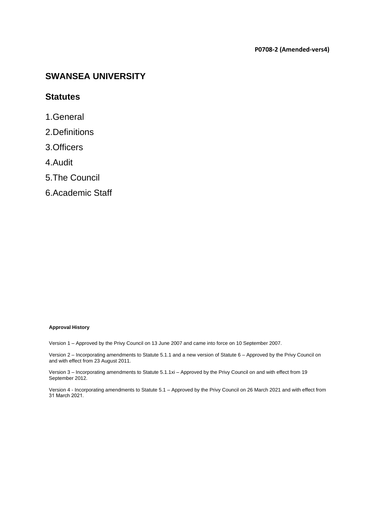#### **P0708-2 (Amended-vers4)**

## <span id="page-0-0"></span>**SWANSEA UNIVERSITY**

### **Statutes**

- [1.General](#page-1-0)
- [2.Definitions](#page-2-0)
- [3.Officers](#page-3-0)
- [4.Audit](#page-4-0)
- [5.The Council](#page-5-0)
- [6.Academic Staff](#page-8-0)

#### **Approval History**

Version 1 – Approved by the Privy Council on 13 June 2007 and came into force on 10 September 2007.

Version 2 – Incorporating amendments to Statute 5.1.1 and a new version of Statute 6 – Approved by the Privy Council on and with effect from 23 August 2011.

Version 3 – Incorporating amendments to Statute 5.1.1xi – Approved by the Privy Council on and with effect from 19 September 2012.

Version 4 - Incorporating amendments to Statute 5.1 – Approved by the Privy Council on 26 March 2021 and with effect from 31 March 2021.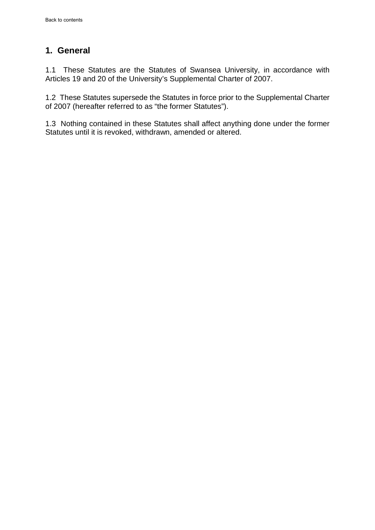## <span id="page-1-0"></span>**1. General**

1.1 These Statutes are the Statutes of Swansea University, in accordance with Articles 19 and 20 of the University's Supplemental Charter of 2007.

1.2 These Statutes supersede the Statutes in force prior to the Supplemental Charter of 2007 (hereafter referred to as "the former Statutes").

1.3 Nothing contained in these Statutes shall affect anything done under the former Statutes until it is revoked, withdrawn, amended or altered.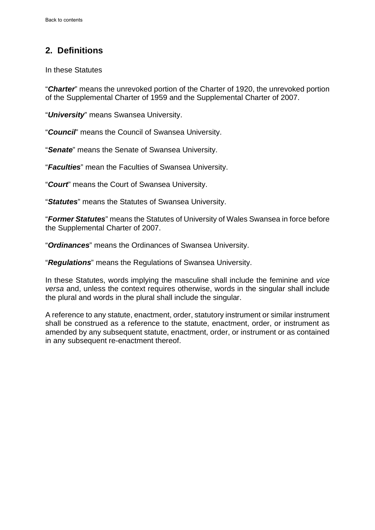# <span id="page-2-0"></span>**2. Definitions**

In these Statutes

"*Charter*" means the unrevoked portion of the Charter of 1920, the unrevoked portion of the Supplemental Charter of 1959 and the Supplemental Charter of 2007.

"*University*" means Swansea University.

"*Council*" means the Council of Swansea University.

"*Senate*" means the Senate of Swansea University.

"*Faculties*" mean the Faculties of Swansea University.

"*Court*" means the Court of Swansea University.

"*Statutes*" means the Statutes of Swansea University.

"*Former Statutes*" means the Statutes of University of Wales Swansea in force before the Supplemental Charter of 2007.

"*Ordinances*" means the Ordinances of Swansea University.

"*Regulations*" means the Regulations of Swansea University.

In these Statutes, words implying the masculine shall include the feminine and *vice versa* and, unless the context requires otherwise, words in the singular shall include the plural and words in the plural shall include the singular.

A reference to any statute, enactment, order, statutory instrument or similar instrument shall be construed as a reference to the statute, enactment, order, or instrument as amended by any subsequent statute, enactment, order, or instrument or as contained in any subsequent re-enactment thereof.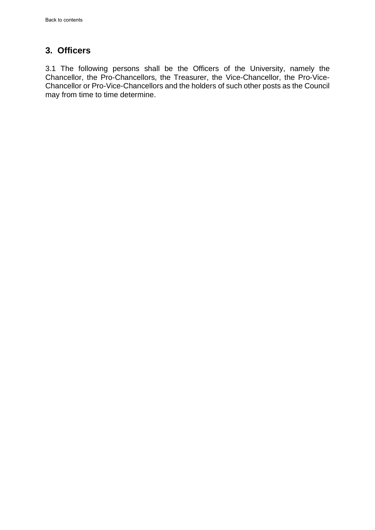## <span id="page-3-0"></span>**3. Officers**

3.1 The following persons shall be the Officers of the University, namely the Chancellor, the Pro-Chancellors, the Treasurer, the Vice-Chancellor, the Pro-Vice-Chancellor or Pro-Vice-Chancellors and the holders of such other posts as the Council may from time to time determine.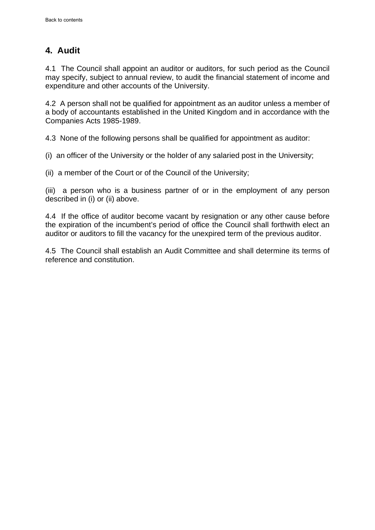## <span id="page-4-0"></span>**4. Audit**

4.1 The Council shall appoint an auditor or auditors, for such period as the Council may specify, subject to annual review, to audit the financial statement of income and expenditure and other accounts of the University.

4.2 A person shall not be qualified for appointment as an auditor unless a member of a body of accountants established in the United Kingdom and in accordance with the Companies Acts 1985-1989.

4.3 None of the following persons shall be qualified for appointment as auditor:

(i) an officer of the University or the holder of any salaried post in the University;

(ii) a member of the Court or of the Council of the University;

(iii) a person who is a business partner of or in the employment of any person described in (i) or (ii) above.

4.4 If the office of auditor become vacant by resignation or any other cause before the expiration of the incumbent's period of office the Council shall forthwith elect an auditor or auditors to fill the vacancy for the unexpired term of the previous auditor.

4.5 The Council shall establish an Audit Committee and shall determine its terms of reference and constitution.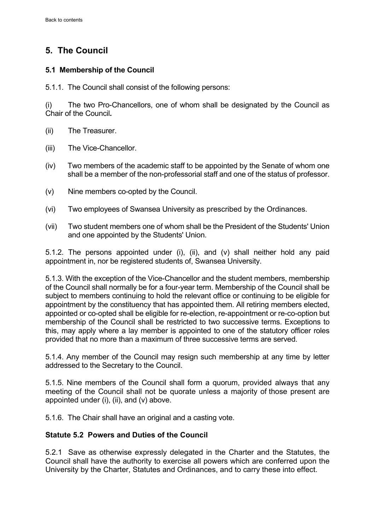# <span id="page-5-0"></span>**5. The Council**

### **5.1 Membership of the Council**

5.1.1. The Council shall consist of the following persons:

(i) The two Pro-Chancellors, one of whom shall be designated by the Council as Chair of the Council**.**

- (ii) The Treasurer.
- (iii) The Vice-Chancellor.
- (iv) Two members of the academic staff to be appointed by the Senate of whom one shall be a member of the non-professorial staff and one of the status of professor.
- (v) Nine members co-opted by the Council.
- (vi) Two employees of Swansea University as prescribed by the Ordinances.
- (vii) Two student members one of whom shall be the President of the Students' Union and one appointed by the Students' Union.

5.1.2. The persons appointed under (i), (ii), and (v) shall neither hold any paid appointment in, nor be registered students of, Swansea University.

5.1.3. With the exception of the Vice-Chancellor and the student members, membership of the Council shall normally be for a four-year term. Membership of the Council shall be subject to members continuing to hold the relevant office or continuing to be eligible for appointment by the constituency that has appointed them. All retiring members elected, appointed or co-opted shall be eligible for re-election, re-appointment or re-co-option but membership of the Council shall be restricted to two successive terms. Exceptions to this, may apply where a lay member is appointed to one of the statutory officer roles provided that no more than a maximum of three successive terms are served.

5.1.4. Any member of the Council may resign such membership at any time by letter addressed to the Secretary to the Council.

5.1.5. Nine members of the Council shall form a quorum, provided always that any meeting of the Council shall not be quorate unless a majority of those present are appointed under (i), (ii), and (v) above.

5.1.6. The Chair shall have an original and a casting vote.

### **Statute 5.2 Powers and Duties of the Council**

5.2.1 Save as otherwise expressly delegated in the Charter and the Statutes, the Council shall have the authority to exercise all powers which are conferred upon the University by the Charter, Statutes and Ordinances, and to carry these into effect.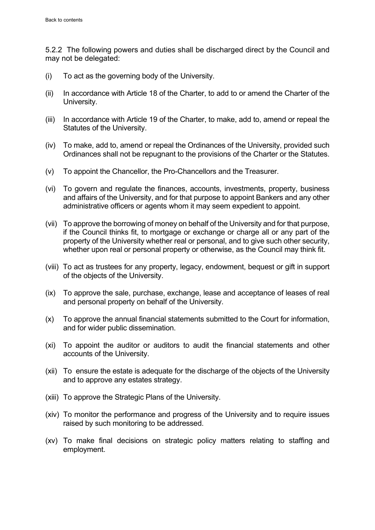5.2.2 The following powers and duties shall be discharged direct by the Council and may not be delegated:

- (i) To act as the governing body of the University.
- (ii) In accordance with Article 18 of the Charter, to add to or amend the Charter of the University.
- (iii) In accordance with Article 19 of the Charter, to make, add to, amend or repeal the Statutes of the University.
- (iv) To make, add to, amend or repeal the Ordinances of the University, provided such Ordinances shall not be repugnant to the provisions of the Charter or the Statutes.
- (v) To appoint the Chancellor, the Pro-Chancellors and the Treasurer.
- (vi) To govern and regulate the finances, accounts, investments, property, business and affairs of the University, and for that purpose to appoint Bankers and any other administrative officers or agents whom it may seem expedient to appoint.
- (vii) To approve the borrowing of money on behalf of the University and for that purpose, if the Council thinks fit, to mortgage or exchange or charge all or any part of the property of the University whether real or personal, and to give such other security, whether upon real or personal property or otherwise, as the Council may think fit.
- (viii) To act as trustees for any property, legacy, endowment, bequest or gift in support of the objects of the University.
- (ix) To approve the sale, purchase, exchange, lease and acceptance of leases of real and personal property on behalf of the University.
- (x) To approve the annual financial statements submitted to the Court for information, and for wider public dissemination.
- (xi) To appoint the auditor or auditors to audit the financial statements and other accounts of the University.
- (xii)To ensure the estate is adequate for the discharge of the objects of the University and to approve any estates strategy.
- (xiii) To approve the Strategic Plans of the University.
- (xiv) To monitor the performance and progress of the University and to require issues raised by such monitoring to be addressed.
- (xv) To make final decisions on strategic policy matters relating to staffing and employment.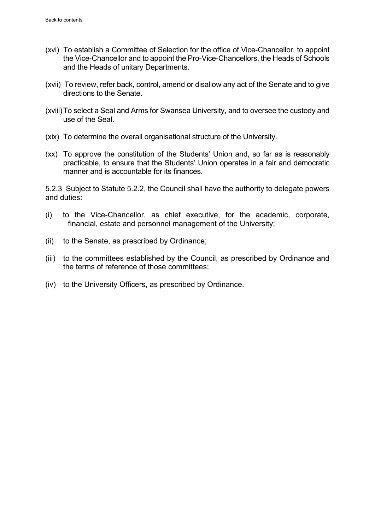- (xvi) To establish a Committee of Selection for the office of Vice-Chancellor, to appoint the Vice-Chancellor and to appoint the Pro-Vice-Chancellors, the Heads of Schools and the Heads of unitary Departments.
- (xvii) To review, refer back, control, amend or disallow any act of the Senate and to give directions to the Senate.
- (xviii)To select a Seal and Arms for Swansea University, and to oversee the custody and use of the Seal.
- (xix) To determine the overall organisational structure of the University.
- (xx) To approve the constitution of the Students' Union and, so far as is reasonably practicable, to ensure that the Students' Union operates in a fair and democratic manner and is accountable for its finances.

5.2.3 Subject to Statute 5.2.2, the Council shall have the authority to delegate powers and duties:

- (i) to the Vice-Chancellor, as chief executive, for the academic, corporate, financial, estate and personnel management of the University;
- (ii) to the Senate, as prescribed by Ordinance;
- (iii) to the committees established by the Council, as prescribed by Ordinance and the terms of reference of those committees;
- (iv) to the University Officers, as prescribed by Ordinance.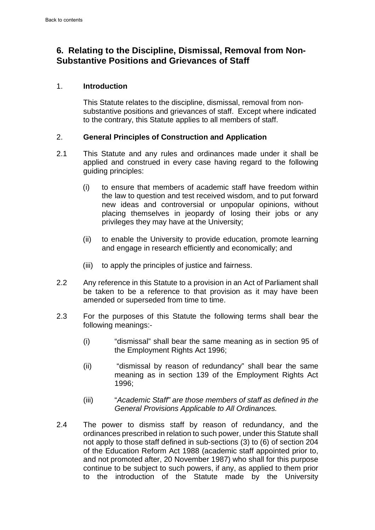## <span id="page-8-0"></span>**6. Relating to the Discipline, Dismissal, Removal from Non-Substantive Positions and Grievances of Staff**

### 1. **Introduction**

This Statute relates to the discipline, dismissal, removal from nonsubstantive positions and grievances of staff. Except where indicated to the contrary, this Statute applies to all members of staff.

### 2. **General Principles of Construction and Application**

- 2.1 This Statute and any rules and ordinances made under it shall be applied and construed in every case having regard to the following guiding principles:
	- (i) to ensure that members of academic staff have freedom within the law to question and test received wisdom, and to put forward new ideas and controversial or unpopular opinions, without placing themselves in jeopardy of losing their jobs or any privileges they may have at the University;
	- (ii) to enable the University to provide education, promote learning and engage in research efficiently and economically; and
	- (iii) to apply the principles of justice and fairness.
- 2.2 Any reference in this Statute to a provision in an Act of Parliament shall be taken to be a reference to that provision as it may have been amended or superseded from time to time.
- 2.3 For the purposes of this Statute the following terms shall bear the following meanings:-
	- (i) "dismissal" shall bear the same meaning as in section 95 of the Employment Rights Act 1996;
	- (ii) "dismissal by reason of redundancy" shall bear the same meaning as in section 139 of the Employment Rights Act 1996;
	- (iii) "*Academic Staff" are those members of staff as defined in the General Provisions Applicable to All Ordinances.*
- 2.4 The power to dismiss staff by reason of redundancy, and the ordinances prescribed in relation to such power, under this Statute shall not apply to those staff defined in sub-sections (3) to (6) of section 204 of the Education Reform Act 1988 (academic staff appointed prior to, and not promoted after, 20 November 1987) who shall for this purpose continue to be subject to such powers, if any, as applied to them prior to the introduction of the Statute made by the University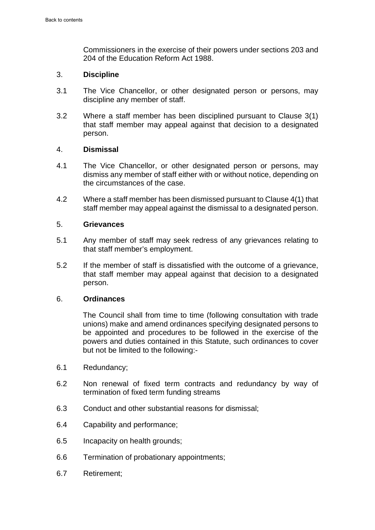Commissioners in the exercise of their powers under sections 203 and 204 of the Education Reform Act 1988.

### 3. **Discipline**

- 3.1 The Vice Chancellor, or other designated person or persons, may discipline any member of staff.
- 3.2 Where a staff member has been disciplined pursuant to Clause 3(1) that staff member may appeal against that decision to a designated person.

### 4. **Dismissal**

- 4.1 The Vice Chancellor, or other designated person or persons, may dismiss any member of staff either with or without notice, depending on the circumstances of the case.
- 4.2 Where a staff member has been dismissed pursuant to Clause 4(1) that staff member may appeal against the dismissal to a designated person.

### 5. **Grievances**

- 5.1 Any member of staff may seek redress of any grievances relating to that staff member's employment.
- 5.2 If the member of staff is dissatisfied with the outcome of a grievance, that staff member may appeal against that decision to a designated person.

#### 6. **Ordinances**

The Council shall from time to time (following consultation with trade unions) make and amend ordinances specifying designated persons to be appointed and procedures to be followed in the exercise of the powers and duties contained in this Statute, such ordinances to cover but not be limited to the following:-

- 6.1 Redundancy;
- 6.2 Non renewal of fixed term contracts and redundancy by way of termination of fixed term funding streams
- 6.3 Conduct and other substantial reasons for dismissal;
- 6.4 Capability and performance;
- 6.5 Incapacity on health grounds;
- 6.6 Termination of probationary appointments;
- 6.7 Retirement;